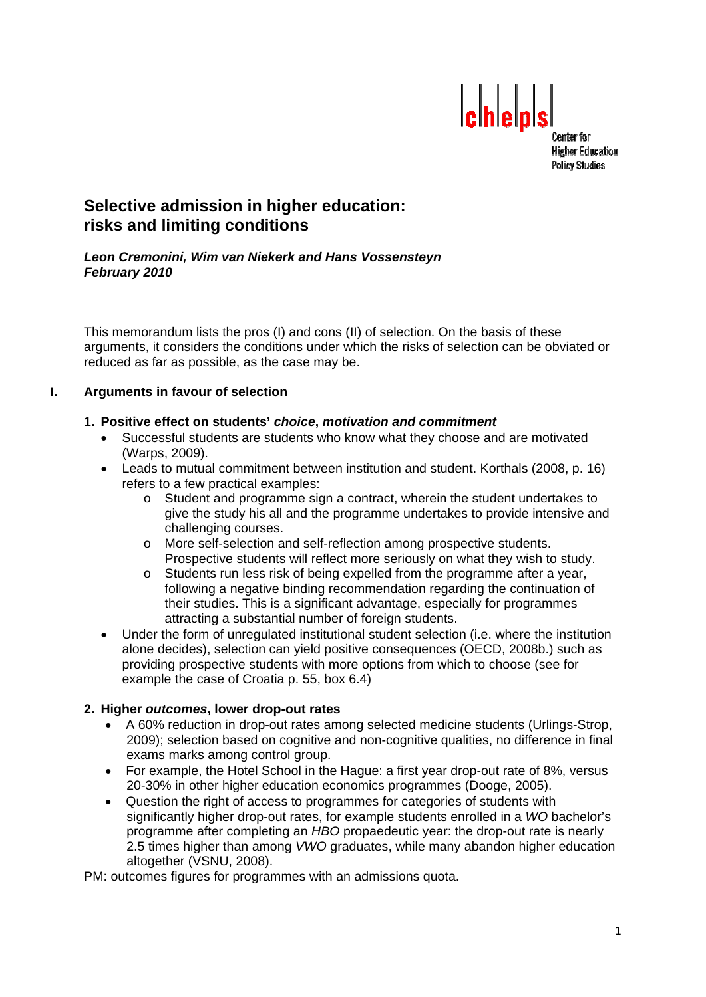

**Center for Higher Education Policy Studies** 

# **Selective admission in higher education: risks and limiting conditions**

#### *Leon Cremonini, Wim van Niekerk and Hans Vossensteyn February 2010*

This memorandum lists the pros (I) and cons (II) of selection. On the basis of these arguments, it considers the conditions under which the risks of selection can be obviated or reduced as far as possible, as the case may be.

# **I. Arguments in favour of selection**

# **1. Positive effect on students'** *choice***,** *motivation and commitment*

- Successful students are students who know what they choose and are motivated (Warps, 2009).
- Leads to mutual commitment between institution and student. Korthals (2008, p. 16) refers to a few practical examples:
	- o Student and programme sign a contract, wherein the student undertakes to give the study his all and the programme undertakes to provide intensive and challenging courses.
	- o More self-selection and self-reflection among prospective students. Prospective students will reflect more seriously on what they wish to study.
	- o Students run less risk of being expelled from the programme after a year, following a negative binding recommendation regarding the continuation of their studies. This is a significant advantage, especially for programmes attracting a substantial number of foreign students.
- Under the form of unregulated institutional student selection (i.e. where the institution alone decides), selection can yield positive consequences (OECD, 2008b.) such as providing prospective students with more options from which to choose (see for example the case of Croatia p. 55, box 6.4)

# **2. Higher** *outcomes***, lower drop-out rates**

- A 60% reduction in drop-out rates among selected medicine students (Urlings-Strop, 2009); selection based on cognitive and non-cognitive qualities, no difference in final exams marks among control group.
- For example, the Hotel School in the Hague: a first year drop-out rate of 8%, versus 20-30% in other higher education economics programmes (Dooge, 2005).
- Question the right of access to programmes for categories of students with significantly higher drop-out rates, for example students enrolled in a *WO* bachelor's programme after completing an *HBO* propaedeutic year: the drop-out rate is nearly 2.5 times higher than among *VWO* graduates, while many abandon higher education altogether (VSNU, 2008).

PM: outcomes figures for programmes with an admissions quota.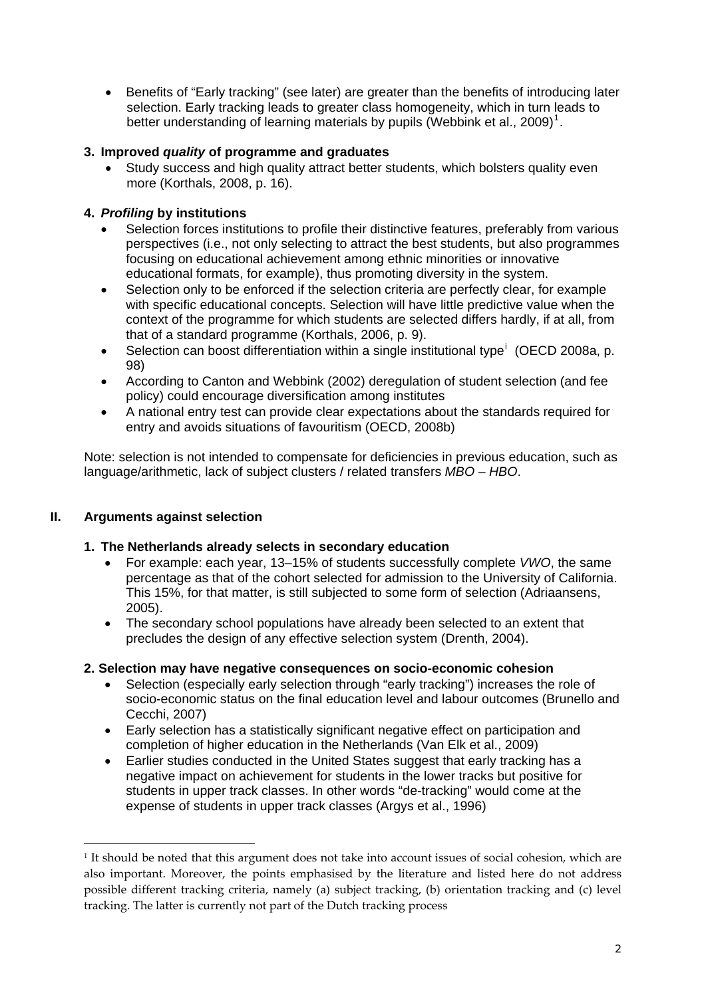Benefits of "Early tracking" (see later) are greater than the benefits of introducing later selection. Early tracking leads to greater class homogeneity, which in turn leads to better understanding of learning materials by pupils (Webbink et al., 2009)<sup>[1](#page-1-0)</sup>.

# **3. Improved** *quality* **of programme and graduates**

 Study success and high quality attract better students, which bolsters quality even more (Korthals, 2008, p. 16).

#### **4.** *Profiling* **by institutions**

- Selection forces institutions to profile their distinctive features, preferably from various perspectives (i.e., not only selecting to attract the best students, but also programmes focusing on educational achievement among ethnic minorities or innovative educational formats, for example), thus promoting diversity in the system.
- Selection only to be enforced if the selection criteria are perfectly clear, for example with specific educational concepts. Selection will have little predictive value when the context of the programme for which students are selected differs hardly, if at all, from that of a standard programme (Korthals, 2006, p. 9).
- Select[i](#page-7-0)on can boost differentiation within a single institutional type<sup>i</sup> (OECD 2008a, p. 98)
- According to Canton and Webbink (2002) deregulation of student selection (and fee policy) could encourage diversification among institutes
- A national entry test can provide clear expectations about the standards required for entry and avoids situations of favouritism (OECD, 2008b)

Note: selection is not intended to compensate for deficiencies in previous education, such as language/arithmetic, lack of subject clusters / related transfers *MBO – HBO*.

# **II. Arguments against selection**

-

#### **1. The Netherlands already selects in secondary education**

- For example: each year, 13–15% of students successfully complete *VWO*, the same percentage as that of the cohort selected for admission to the University of California. This 15%, for that matter, is still subjected to some form of selection (Adriaansens, 2005).
- The secondary school populations have already been selected to an extent that precludes the design of any effective selection system (Drenth, 2004).

#### **2. Selection may have negative consequences on socio-economic cohesion**

- Selection (especially early selection through "early tracking") increases the role of socio-economic status on the final education level and labour outcomes (Brunello and Cecchi, 2007)
- Early selection has a statistically significant negative effect on participation and completion of higher education in the Netherlands (Van Elk et al., 2009)
- Earlier studies conducted in the United States suggest that early tracking has a negative impact on achievement for students in the lower tracks but positive for students in upper track classes. In other words "de-tracking" would come at the expense of students in upper track classes (Argys et al., 1996)

<span id="page-1-0"></span><sup>1</sup> It should be noted that this argument does not take into account issues of social cohesion, which are also important. Moreover, the points emphasised by the literature and listed here do not address possible different tracking criteria, namely (a) subject tracking, (b) orientation tracking and (c) level tracking. The latter is currently not part of the Dutch tracking process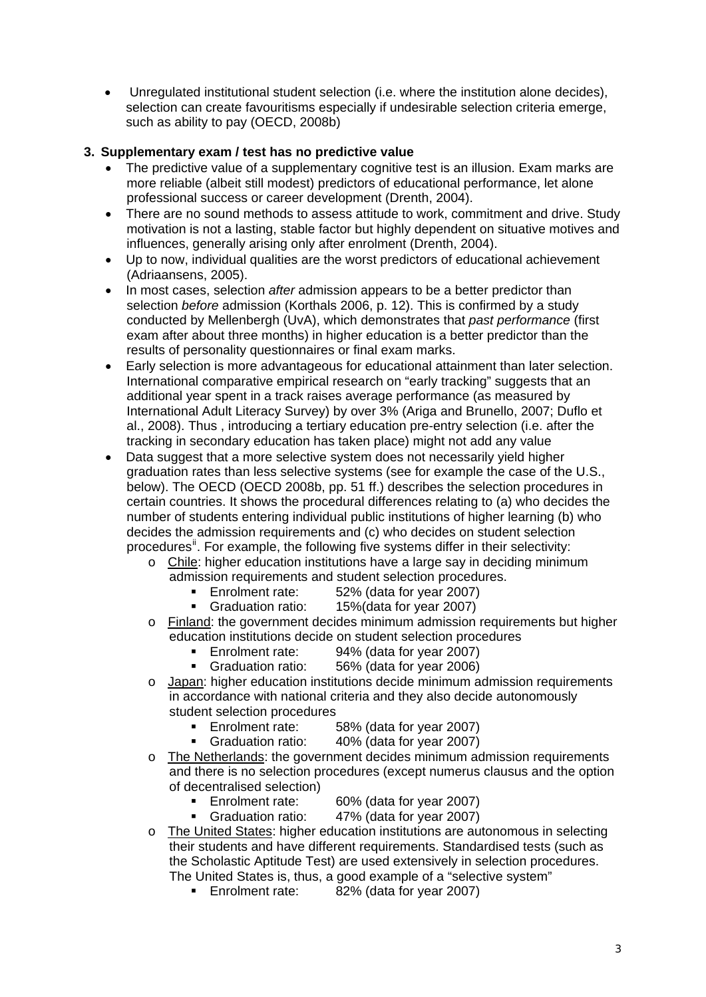Unregulated institutional student selection (i.e. where the institution alone decides), selection can create favouritisms especially if undesirable selection criteria emerge, such as ability to pay (OECD, 2008b)

# **3. Supplementary exam / test has no predictive value**

- The predictive value of a supplementary cognitive test is an illusion. Exam marks are more reliable (albeit still modest) predictors of educational performance, let alone professional success or career development (Drenth, 2004).
- There are no sound methods to assess attitude to work, commitment and drive. Study motivation is not a lasting, stable factor but highly dependent on situative motives and influences, generally arising only after enrolment (Drenth, 2004).
- Up to now, individual qualities are the worst predictors of educational achievement (Adriaansens, 2005).
- In most cases, selection *after* admission appears to be a better predictor than selection *before* admission (Korthals 2006, p. 12). This is confirmed by a study conducted by Mellenbergh (UvA), which demonstrates that *past performance* (first exam after about three months) in higher education is a better predictor than the results of personality questionnaires or final exam marks.
- Early selection is more advantageous for educational attainment than later selection. International comparative empirical research on "early tracking" suggests that an additional year spent in a track raises average performance (as measured by International Adult Literacy Survey) by over 3% (Ariga and Brunello, 2007; Duflo et al., 2008). Thus , introducing a tertiary education pre-entry selection (i.e. after the tracking in secondary education has taken place) might not add any value
- Data suggest that a more selective system does not necessarily yield higher graduation rates than less selective systems (see for example the case of the U.S., below). The OECD (OECD 2008b, pp. 51 ff.) describes the selection procedures in certain countries. It shows the procedural differences relating to (a) who decides the number of students entering individual public institutions of higher learning (b) who decides the admission requirements and (c) who decides on student selection procedures<sup>[ii](#page-7-1)</sup>. For example, the following five systems differ in their selectivity:
	- $\circ$  Chile: higher education institutions have a large say in deciding minimum
		- admission requirements and student selection procedures.
			- **Enrolment rate:** 52% (data for year 2007)
			- Graduation ratio: 15%(data for year 2007)
	- o Finland: the government decides minimum admission requirements but higher education institutions decide on student selection procedures
		- **Enrolment rate:** 94% (data for year 2007)
		- Graduation ratio: 56% (data for year 2006)
	- o Japan: higher education institutions decide minimum admission requirements in accordance with national criteria and they also decide autonomously student selection procedures
		- **Enrolment rate:** 58% (data for year 2007)
		- Graduation ratio: 40% (data for year 2007)
	- o The Netherlands: the government decides minimum admission requirements and there is no selection procedures (except numerus clausus and the option of decentralised selection)
		- **Enrolment rate:** 60% (data for year 2007)
		- Graduation ratio: 47% (data for year 2007)
	- o The United States: higher education institutions are autonomous in selecting their students and have different requirements. Standardised tests (such as the Scholastic Aptitude Test) are used extensively in selection procedures. The United States is, thus, a good example of a "selective system"
		- **Enrolment rate:** 82% (data for year 2007)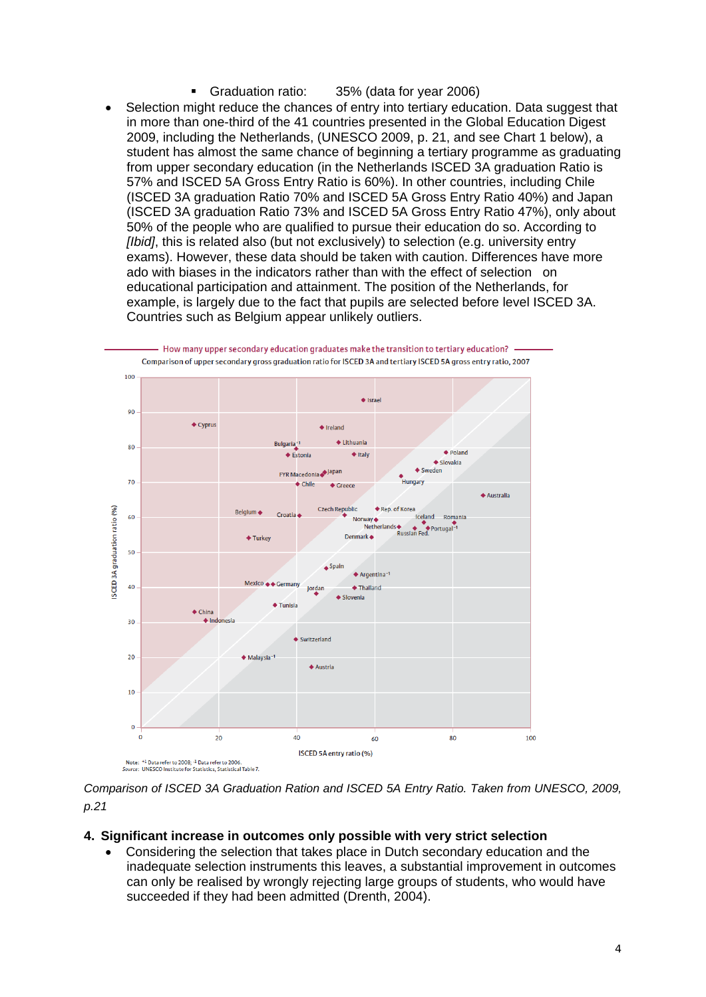- Graduation ratio: 35% (data for year 2006)
- Selection might reduce the chances of entry into tertiary education. Data suggest that in more than one-third of the 41 countries presented in the Global Education Digest 2009, including the Netherlands, (UNESCO 2009, p. 21, and see Chart 1 below), a student has almost the same chance of beginning a tertiary programme as graduating from upper secondary education (in the Netherlands ISCED 3A graduation Ratio is 57% and ISCED 5A Gross Entry Ratio is 60%). In other countries, including Chile (ISCED 3A graduation Ratio 70% and ISCED 5A Gross Entry Ratio 40%) and Japan (ISCED 3A graduation Ratio 73% and ISCED 5A Gross Entry Ratio 47%), only about 50% of the people who are qualified to pursue their education do so. According to *[Ibid]*, this is related also (but not exclusively) to selection (e.g. university entry exams). However, these data should be taken with caution. Differences have more ado with biases in the indicators rather than with the effect of selection on educational participation and attainment. The position of the Netherlands, for example, is largely due to the fact that pupils are selected before level ISCED 3A. Countries such as Belgium appear unlikely outliers.



*Comparison of ISCED 3A Graduation Ration and ISCED 5A Entry Ratio. Taken from UNESCO, 2009, p.21*

#### **4. Significant increase in outcomes only possible with very strict selection**

 Considering the selection that takes place in Dutch secondary education and the inadequate selection instruments this leaves, a substantial improvement in outcomes can only be realised by wrongly rejecting large groups of students, who would have succeeded if they had been admitted (Drenth, 2004).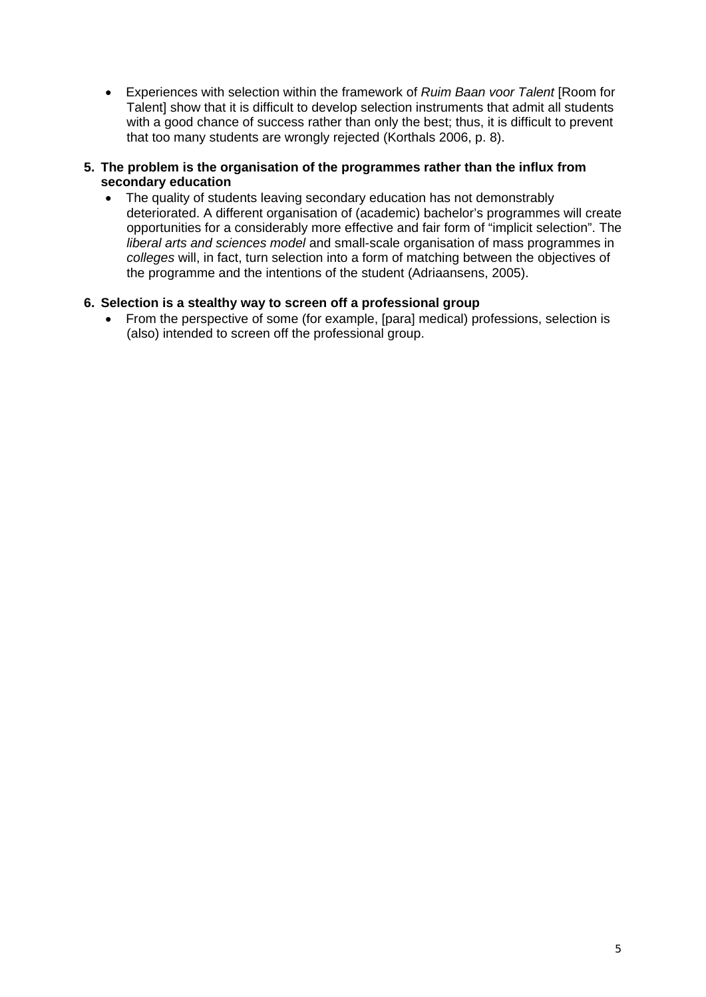Experiences with selection within the framework of *Ruim Baan voor Talent* [Room for Talent] show that it is difficult to develop selection instruments that admit all students with a good chance of success rather than only the best; thus, it is difficult to prevent that too many students are wrongly rejected (Korthals 2006, p. 8).

#### **5. The problem is the organisation of the programmes rather than the influx from secondary education**

• The quality of students leaving secondary education has not demonstrably deteriorated. A different organisation of (academic) bachelor's programmes will create opportunities for a considerably more effective and fair form of "implicit selection". The *liberal arts and sciences model* and small-scale organisation of mass programmes in *colleges* will, in fact, turn selection into a form of matching between the objectives of the programme and the intentions of the student (Adriaansens, 2005).

# **6. Selection is a stealthy way to screen off a professional group**

 From the perspective of some (for example, [para] medical) professions, selection is (also) intended to screen off the professional group.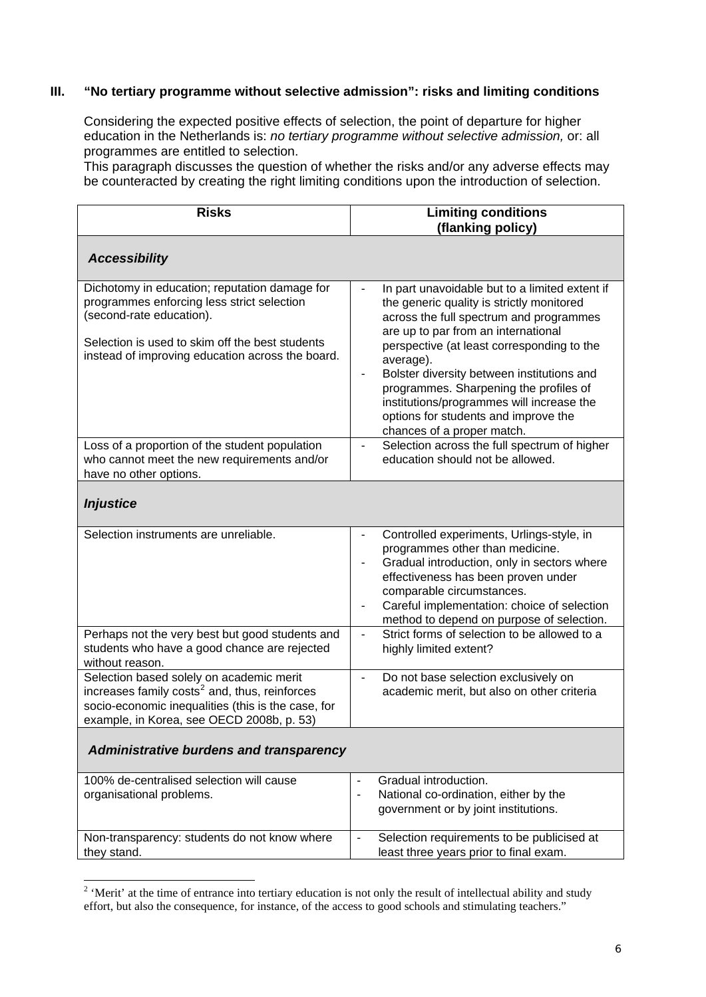### **III. "No tertiary programme without selective admission": risks and limiting conditions**

Considering the expected positive effects of selection, the point of departure for higher education in the Netherlands is: *no tertiary programme without selective admission,* or: all programmes are entitled to selection.

This paragraph discusses the question of whether the risks and/or any adverse effects may be counteracted by creating the right limiting conditions upon the introduction of selection.

| <b>Risks</b>                                                                                                                                                                                                                   | <b>Limiting conditions</b><br>(flanking policy)                                                                                                                                                                                                                                                                                                                                                                                                     |  |
|--------------------------------------------------------------------------------------------------------------------------------------------------------------------------------------------------------------------------------|-----------------------------------------------------------------------------------------------------------------------------------------------------------------------------------------------------------------------------------------------------------------------------------------------------------------------------------------------------------------------------------------------------------------------------------------------------|--|
| <b>Accessibility</b>                                                                                                                                                                                                           |                                                                                                                                                                                                                                                                                                                                                                                                                                                     |  |
| Dichotomy in education; reputation damage for<br>programmes enforcing less strict selection<br>(second-rate education).<br>Selection is used to skim off the best students<br>instead of improving education across the board. | In part unavoidable but to a limited extent if<br>the generic quality is strictly monitored<br>across the full spectrum and programmes<br>are up to par from an international<br>perspective (at least corresponding to the<br>average).<br>Bolster diversity between institutions and<br>programmes. Sharpening the profiles of<br>institutions/programmes will increase the<br>options for students and improve the<br>chances of a proper match. |  |
| Loss of a proportion of the student population<br>who cannot meet the new requirements and/or<br>have no other options.                                                                                                        | Selection across the full spectrum of higher<br>education should not be allowed.                                                                                                                                                                                                                                                                                                                                                                    |  |
| <b>Injustice</b>                                                                                                                                                                                                               |                                                                                                                                                                                                                                                                                                                                                                                                                                                     |  |
| Selection instruments are unreliable.                                                                                                                                                                                          | Controlled experiments, Urlings-style, in<br>÷,<br>programmes other than medicine.<br>Gradual introduction, only in sectors where<br>÷,<br>effectiveness has been proven under<br>comparable circumstances.<br>Careful implementation: choice of selection<br>-<br>method to depend on purpose of selection.                                                                                                                                        |  |
| Perhaps not the very best but good students and<br>students who have a good chance are rejected<br>without reason.                                                                                                             | Strict forms of selection to be allowed to a<br>÷,<br>highly limited extent?                                                                                                                                                                                                                                                                                                                                                                        |  |
| Selection based solely on academic merit<br>increases family costs <sup>2</sup> and, thus, reinforces<br>socio-economic inequalities (this is the case, for<br>example, in Korea, see OECD 2008b, p. 53)                       | Do not base selection exclusively on<br>$\blacksquare$<br>academic merit, but also on other criteria                                                                                                                                                                                                                                                                                                                                                |  |
| <b>Administrative burdens and transparency</b>                                                                                                                                                                                 |                                                                                                                                                                                                                                                                                                                                                                                                                                                     |  |
| 100% de-centralised selection will cause<br>organisational problems.                                                                                                                                                           | Gradual introduction.<br>$\overline{\phantom{a}}$<br>National co-ordination, either by the<br>$\overline{\phantom{a}}$<br>government or by joint institutions.                                                                                                                                                                                                                                                                                      |  |
| Non-transparency: students do not know where<br>they stand.                                                                                                                                                                    | Selection requirements to be publicised at<br>$\blacksquare$<br>least three years prior to final exam.                                                                                                                                                                                                                                                                                                                                              |  |

<span id="page-5-0"></span><sup>&</sup>lt;sup>2</sup> 'Merit' at the time of entrance into tertiary education is not only the result of intellectual ability and study effort, but also the consequence, for instance, of the access to good schools and stimulating teachers."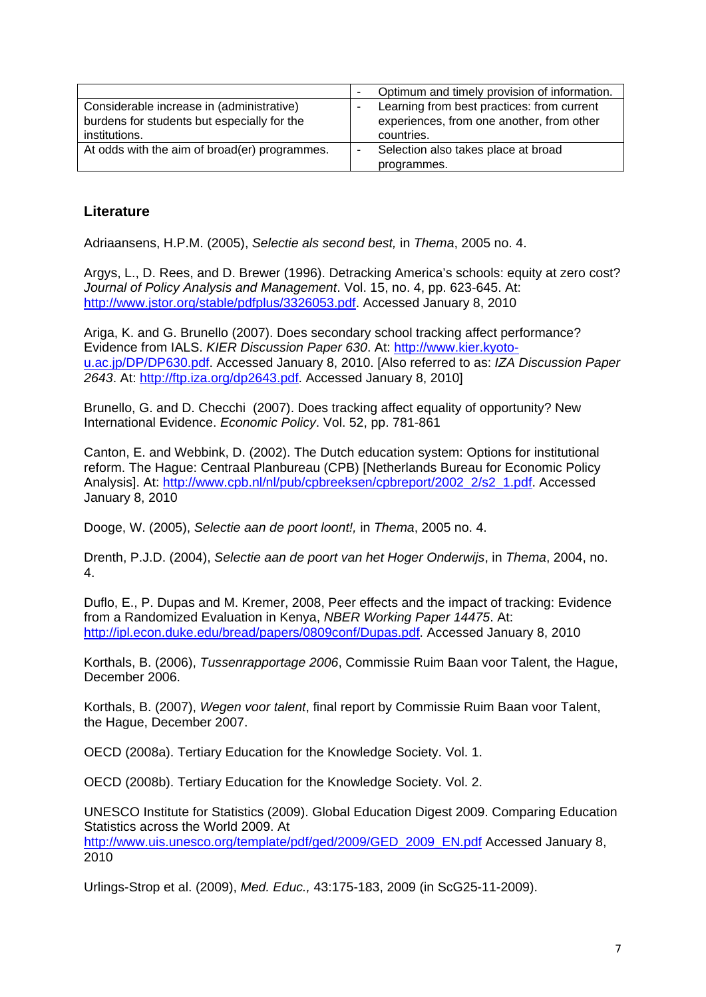|                                               |   | Optimum and timely provision of information. |
|-----------------------------------------------|---|----------------------------------------------|
| Considerable increase in (administrative)     |   | Learning from best practices: from current   |
| burdens for students but especially for the   |   | experiences, from one another, from other    |
| institutions.                                 |   | countries.                                   |
| At odds with the aim of broad(er) programmes. | ٠ | Selection also takes place at broad          |
|                                               |   | programmes.                                  |

# **Literature**

Adriaansens, H.P.M. (2005), *Selectie als second best,* in *Thema*, 2005 no. 4.

Argys, L., D. Rees, and D. Brewer (1996). Detracking America's schools: equity at zero cost? *Journal of Policy Analysis and Management*. Vol. 15, no. 4, pp. 623-645. At: <http://www.jstor.org/stable/pdfplus/3326053.pdf>. Accessed January 8, 2010

Ariga, K. and G. Brunello (2007). Does secondary school tracking affect performance? Evidence from IALS. *KIER Discussion Paper 630*. At: [http://www.kier.kyoto](http://www.kier.kyoto-u.ac.jp/DP/DP630.pdf)[u.ac.jp/DP/DP630.pdf.](http://www.kier.kyoto-u.ac.jp/DP/DP630.pdf) Accessed January 8, 2010. [Also referred to as: *IZA Discussion Paper 2643*. At: [http://ftp.iza.org/dp2643.pdf.](http://ftp.iza.org/dp2643.pdf) Accessed January 8, 2010]

Brunello, G. and D. Checchi (2007). Does tracking affect equality of opportunity? New International Evidence. *Economic Policy*. Vol. 52, pp. 781-861

Canton, E. and Webbink, D. (2002). The Dutch education system: Options for institutional reform. The Hague: Centraal Planbureau (CPB) [Netherlands Bureau for Economic Policy Analysis]. At: [http://www.cpb.nl/nl/pub/cpbreeksen/cpbreport/2002\\_2/s2\\_1.pdf.](http://www.cpb.nl/nl/pub/cpbreeksen/cpbreport/2002_2/s2_1.pdf) Accessed January 8, 2010

Dooge, W. (2005), *Selectie aan de poort loont!,* in *Thema*, 2005 no. 4.

Drenth, P.J.D. (2004), *Selectie aan de poort van het Hoger Onderwijs*, in *Thema*, 2004, no. 4.

Duflo, E., P. Dupas and M. Kremer, 2008, Peer effects and the impact of tracking: Evidence from a Randomized Evaluation in Kenya, *NBER Working Paper 14475*. At: <http://ipl.econ.duke.edu/bread/papers/0809conf/Dupas.pdf>. Accessed January 8, 2010

Korthals, B. (2006), *Tussenrapportage 2006*, Commissie Ruim Baan voor Talent, the Hague, December 2006.

Korthals, B. (2007), *Wegen voor talent*, final report by Commissie Ruim Baan voor Talent, the Hague, December 2007.

OECD (2008a). Tertiary Education for the Knowledge Society. Vol. 1.

OECD (2008b). Tertiary Education for the Knowledge Society. Vol. 2.

UNESCO Institute for Statistics (2009). Global Education Digest 2009. Comparing Education Statistics across the World 2009. At [http://www.uis.unesco.org/template/pdf/ged/2009/GED\\_2009\\_EN.pdf](http://www.uis.unesco.org/template/pdf/ged/2009/GED_2009_EN.pdf) Accessed January 8, 2010

Urlings-Strop et al. (2009), *Med. Educ.,* 43:175-183, 2009 (in ScG25-11-2009).